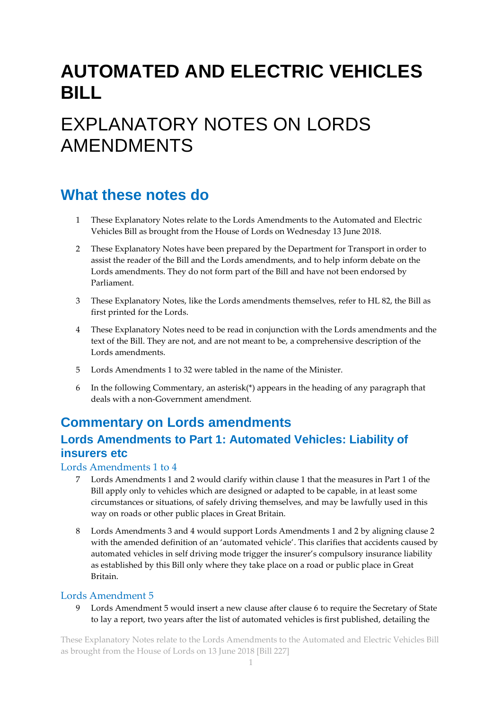# **AUTOMATED AND ELECTRIC VEHICLES BILL**

# EXPLANATORY NOTES ON LORDS AMENDMENTS

## **What these notes do**

- 1 These Explanatory Notes relate to the Lords Amendments to the Automated and Electric Vehicles Bill as brought from the House of Lords on Wednesday 13 June 2018.
- 2 These Explanatory Notes have been prepared by the Department for Transport in order to assist the reader of the Bill and the Lords amendments, and to help inform debate on the Lords amendments. They do not form part of the Bill and have not been endorsed by Parliament.
- 3 These Explanatory Notes, like the Lords amendments themselves, refer to HL 82, the Bill as first printed for the Lords.
- 4 These Explanatory Notes need to be read in conjunction with the Lords amendments and the text of the Bill. They are not, and are not meant to be, a comprehensive description of the Lords amendments.
- 5 Lords Amendments 1 to 32 were tabled in the name of the Minister.
- 6 In the following Commentary, an asterisk(\*) appears in the heading of any paragraph that deals with a non-Government amendment.

## **Commentary on Lords amendments**

### **Lords Amendments to Part 1: Automated Vehicles: Liability of insurers etc**

#### Lords Amendments 1 to 4

- 7 Lords Amendments 1 and 2 would clarify within clause 1 that the measures in Part 1 of the Bill apply only to vehicles which are designed or adapted to be capable, in at least some circumstances or situations, of safely driving themselves, and may be lawfully used in this way on roads or other public places in Great Britain.
- 8 Lords Amendments 3 and 4 would support Lords Amendments 1 and 2 by aligning clause 2 with the amended definition of an 'automated vehicle'. This clarifies that accidents caused by automated vehicles in self driving mode trigger the insurer's compulsory insurance liability as established by this Bill only where they take place on a road or public place in Great Britain.

#### Lords Amendment 5

9 Lords Amendment 5 would insert a new clause after clause 6 to require the Secretary of State to lay a report, two years after the list of automated vehicles is first published, detailing the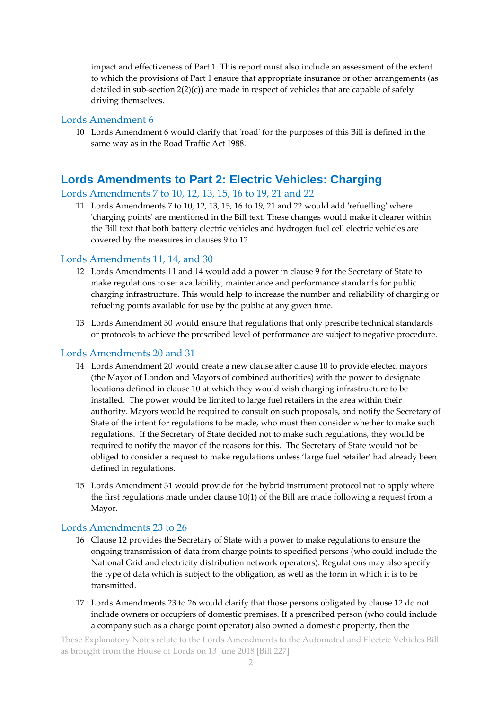impact and effectiveness of Part 1. This report must also include an assessment of the extent to which the provisions of Part 1 ensure that appropriate insurance or other arrangements (as detailed in sub-section 2(2)(c)) are made in respect of vehicles that are capable of safely driving themselves.

#### Lords Amendment 6

10 Lords Amendment 6 would clarify that 'road' for the purposes of this Bill is defined in the same way as in the Road Traffic Act 1988.

#### **Lords Amendments to Part 2: Electric Vehicles: Charging**

#### Lords Amendments 7 to 10, 12, 13, 15, 16 to 19, 21 and 22

11 Lords Amendments 7 to 10, 12, 13, 15, 16 to 19, 21 and 22 would add 'refuelling' where 'charging points' are mentioned in the Bill text. These changes would make it clearer within the Bill text that both battery electric vehicles and hydrogen fuel cell electric vehicles are covered by the measures in clauses 9 to 12.

#### Lords Amendments 11, 14, and 30

- 12 Lords Amendments 11 and 14 would add a power in clause 9 for the Secretary of State to make regulations to set availability, maintenance and performance standards for public charging infrastructure. This would help to increase the number and reliability of charging or refueling points available for use by the public at any given time.
- 13 Lords Amendment 30 would ensure that regulations that only prescribe technical standards or protocols to achieve the prescribed level of performance are subject to negative procedure.

#### Lords Amendments 20 and 31

- 14 Lords Amendment 20 would create a new clause after clause 10 to provide elected mayors (the Mayor of London and Mayors of combined authorities) with the power to designate locations defined in clause 10 at which they would wish charging infrastructure to be installed. The power would be limited to large fuel retailers in the area within their authority. Mayors would be required to consult on such proposals, and notify the Secretary of State of the intent for regulations to be made, who must then consider whether to make such regulations. If the Secretary of State decided not to make such regulations, they would be required to notify the mayor of the reasons for this. The Secretary of State would not be obliged to consider a request to make regulations unless 'large fuel retailer' had already been defined in regulations.
- 15 Lords Amendment 31 would provide for the hybrid instrument protocol not to apply where the first regulations made under clause 10(1) of the Bill are made following a request from a Mayor.

#### Lords Amendments 23 to 26

- 16 Clause 12 provides the Secretary of State with a power to make regulations to ensure the ongoing transmission of data from charge points to specified persons (who could include the National Grid and electricity distribution network operators). Regulations may also specify the type of data which is subject to the obligation, as well as the form in which it is to be transmitted.
- 17 Lords Amendments 23 to 26 would clarify that those persons obligated by clause 12 do not include owners or occupiers of domestic premises. If a prescribed person (who could include a company such as a charge point operator) also owned a domestic property, then the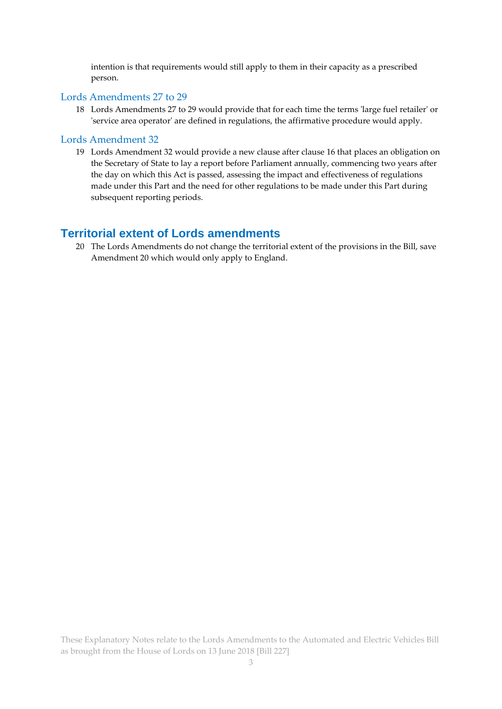intention is that requirements would still apply to them in their capacity as a prescribed person.

#### Lords Amendments 27 to 29

18 Lords Amendments 27 to 29 would provide that for each time the terms 'large fuel retailer' or 'service area operator' are defined in regulations, the affirmative procedure would apply.

#### Lords Amendment 32

19 Lords Amendment 32 would provide a new clause after clause 16 that places an obligation on the Secretary of State to lay a report before Parliament annually, commencing two years after the day on which this Act is passed, assessing the impact and effectiveness of regulations made under this Part and the need for other regulations to be made under this Part during subsequent reporting periods.

#### **Territorial extent of Lords amendments**

20 The Lords Amendments do not change the territorial extent of the provisions in the Bill, save Amendment 20 which would only apply to England.